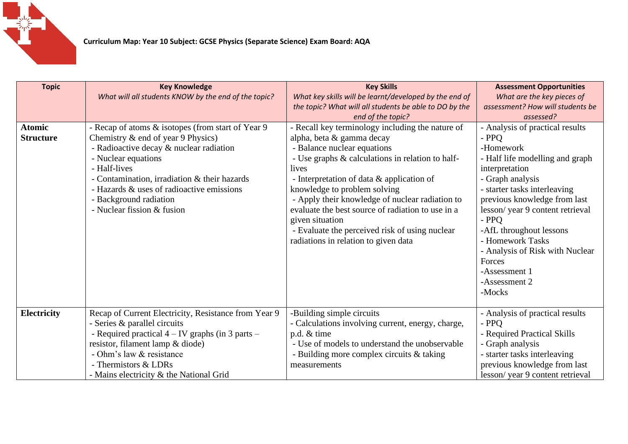

| <b>Topic</b>                      | <b>Key Knowledge</b><br>What will all students KNOW by the end of the topic?                                                                                                                                                                                                                                                      | <b>Key Skills</b><br>What key skills will be learnt/developed by the end of<br>the topic? What will all students be able to DO by the                                                                                                                                                                                                                                                                                                                                                            | <b>Assessment Opportunities</b><br>What are the key pieces of<br>assessment? How will students be                                                                                                                                                                                                                                                                                                   |
|-----------------------------------|-----------------------------------------------------------------------------------------------------------------------------------------------------------------------------------------------------------------------------------------------------------------------------------------------------------------------------------|--------------------------------------------------------------------------------------------------------------------------------------------------------------------------------------------------------------------------------------------------------------------------------------------------------------------------------------------------------------------------------------------------------------------------------------------------------------------------------------------------|-----------------------------------------------------------------------------------------------------------------------------------------------------------------------------------------------------------------------------------------------------------------------------------------------------------------------------------------------------------------------------------------------------|
| <b>Atomic</b><br><b>Structure</b> | - Recap of atoms & isotopes (from start of Year 9<br>Chemistry $\&$ end of year 9 Physics)<br>- Radioactive decay & nuclear radiation<br>- Nuclear equations<br>- Half-lives<br>- Contamination, irradiation & their hazards<br>- Hazards & uses of radioactive emissions<br>- Background radiation<br>- Nuclear fission & fusion | end of the topic?<br>- Recall key terminology including the nature of<br>alpha, beta & gamma decay<br>- Balance nuclear equations<br>- Use graphs & calculations in relation to half-<br>lives<br>- Interpretation of data & application of<br>knowledge to problem solving<br>- Apply their knowledge of nuclear radiation to<br>evaluate the best source of radiation to use in a<br>given situation<br>- Evaluate the perceived risk of using nuclear<br>radiations in relation to given data | assessed?<br>- Analysis of practical results<br>$-$ PPO<br>-Homework<br>- Half life modelling and graph<br>interpretation<br>- Graph analysis<br>- starter tasks interleaving<br>previous knowledge from last<br>lesson/year 9 content retrieval<br>$-$ PPO<br>-AfL throughout lessons<br>- Homework Tasks<br>- Analysis of Risk with Nuclear<br>Forces<br>-Assessment 1<br>-Assessment 2<br>-Mocks |
| <b>Electricity</b>                | Recap of Current Electricity, Resistance from Year 9<br>- Series & parallel circuits<br>- Required practical $4 - IV$ graphs (in 3 parts $-$<br>resistor, filament lamp & diode)<br>- Ohm's law & resistance<br>- Thermistors & LDRs<br>- Mains electricity & the National Grid                                                   | -Building simple circuits<br>- Calculations involving current, energy, charge,<br>p.d. & time<br>- Use of models to understand the unobservable<br>- Building more complex circuits & taking<br>measurements                                                                                                                                                                                                                                                                                     | - Analysis of practical results<br>$-$ PPQ<br>- Required Practical Skills<br>- Graph analysis<br>- starter tasks interleaving<br>previous knowledge from last<br>lesson/year 9 content retrieval                                                                                                                                                                                                    |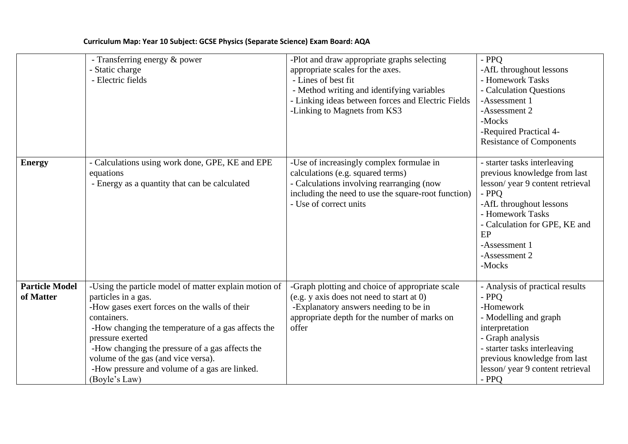|                                    | - Transferring energy & power<br>- Static charge<br>- Electric fields                                                                                                                                                                                                                                                                                                              | -Plot and draw appropriate graphs selecting<br>appropriate scales for the axes.<br>- Lines of best fit<br>- Method writing and identifying variables<br>- Linking ideas between forces and Electric Fields<br>-Linking to Magnets from KS3 | $-$ PPO<br>-AfL throughout lessons<br>- Homework Tasks<br>- Calculation Questions<br>-Assessment 1<br>-Assessment 2<br>-Mocks<br>-Required Practical 4-<br><b>Resistance of Components</b>                                                   |
|------------------------------------|------------------------------------------------------------------------------------------------------------------------------------------------------------------------------------------------------------------------------------------------------------------------------------------------------------------------------------------------------------------------------------|--------------------------------------------------------------------------------------------------------------------------------------------------------------------------------------------------------------------------------------------|----------------------------------------------------------------------------------------------------------------------------------------------------------------------------------------------------------------------------------------------|
| <b>Energy</b>                      | - Calculations using work done, GPE, KE and EPE<br>equations<br>- Energy as a quantity that can be calculated                                                                                                                                                                                                                                                                      | -Use of increasingly complex formulae in<br>calculations (e.g. squared terms)<br>- Calculations involving rearranging (now<br>including the need to use the square-root function)<br>- Use of correct units                                | - starter tasks interleaving<br>previous knowledge from last<br>lesson/year 9 content retrieval<br>$-$ PPQ<br>-AfL throughout lessons<br>- Homework Tasks<br>- Calculation for GPE, KE and<br>EP<br>-Assessment 1<br>-Assessment 2<br>-Mocks |
| <b>Particle Model</b><br>of Matter | -Using the particle model of matter explain motion of<br>particles in a gas.<br>-How gases exert forces on the walls of their<br>containers.<br>-How changing the temperature of a gas affects the<br>pressure exerted<br>-How changing the pressure of a gas affects the<br>volume of the gas (and vice versa).<br>-How pressure and volume of a gas are linked.<br>(Boyle's Law) | -Graph plotting and choice of appropriate scale<br>(e.g. y axis does not need to start at 0)<br>-Explanatory answers needing to be in<br>appropriate depth for the number of marks on<br>offer                                             | - Analysis of practical results<br>- PPQ<br>-Homework<br>- Modelling and graph<br>interpretation<br>- Graph analysis<br>- starter tasks interleaving<br>previous knowledge from last<br>lesson/year 9 content retrieval<br>$-$ PPQ           |

## **Curriculum Map: Year 10 Subject: GCSE Physics (Separate Science) Exam Board: AQA**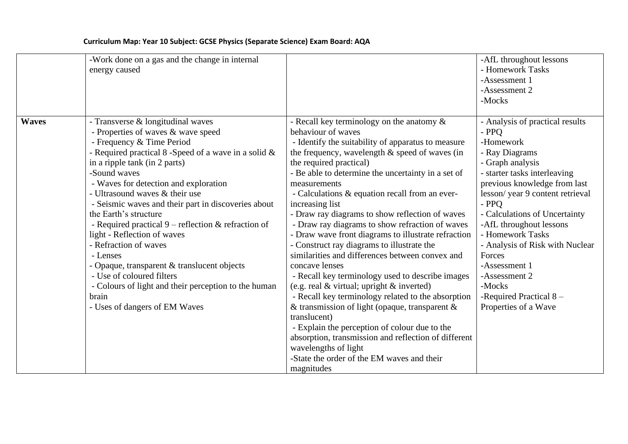## **Curriculum Map: Year 10 Subject: GCSE Physics (Separate Science) Exam Board: AQA**

|              | -Work done on a gas and the change in internal<br>energy caused                                                                                                                                                                                                                                                                                                                                                                                                                                                                                                                                                                                                                          |                                                                                                                                                                                                                                                                                                                                                                                                                                                                                                                                                                                                                                                                                                                                                                                                                                                                                                                                                                                                                                                                  | -AfL throughout lessons<br>- Homework Tasks<br>-Assessment 1<br>-Assessment 2<br>-Mocks                                                                                                                                                                                                                                                                                                                                               |
|--------------|------------------------------------------------------------------------------------------------------------------------------------------------------------------------------------------------------------------------------------------------------------------------------------------------------------------------------------------------------------------------------------------------------------------------------------------------------------------------------------------------------------------------------------------------------------------------------------------------------------------------------------------------------------------------------------------|------------------------------------------------------------------------------------------------------------------------------------------------------------------------------------------------------------------------------------------------------------------------------------------------------------------------------------------------------------------------------------------------------------------------------------------------------------------------------------------------------------------------------------------------------------------------------------------------------------------------------------------------------------------------------------------------------------------------------------------------------------------------------------------------------------------------------------------------------------------------------------------------------------------------------------------------------------------------------------------------------------------------------------------------------------------|---------------------------------------------------------------------------------------------------------------------------------------------------------------------------------------------------------------------------------------------------------------------------------------------------------------------------------------------------------------------------------------------------------------------------------------|
| <b>Waves</b> | - Transverse & longitudinal waves<br>- Properties of waves & wave speed<br>- Frequency & Time Period<br>- Required practical $8$ -Speed of a wave in a solid $\&$<br>in a ripple tank (in 2 parts)<br>-Sound waves<br>- Waves for detection and exploration<br>- Ultrasound waves & their use<br>- Seismic waves and their part in discoveries about<br>the Earth's structure<br>- Required practical $9$ – reflection & refraction of<br>light - Reflection of waves<br>- Refraction of waves<br>- Lenses<br>- Opaque, transparent & translucent objects<br>- Use of coloured filters<br>- Colours of light and their perception to the human<br>brain<br>- Uses of dangers of EM Waves | - Recall key terminology on the anatomy $\&$<br>behaviour of waves<br>- Identify the suitability of apparatus to measure<br>the frequency, wavelength $\&$ speed of waves (in<br>the required practical)<br>- Be able to determine the uncertainty in a set of<br>measurements<br>- Calculations & equation recall from an ever-<br>increasing list<br>- Draw ray diagrams to show reflection of waves<br>- Draw ray diagrams to show refraction of waves<br>- Draw wave front diagrams to illustrate refraction<br>- Construct ray diagrams to illustrate the<br>similarities and differences between convex and<br>concave lenses<br>- Recall key terminology used to describe images<br>(e.g. real $&$ virtual; upright $&$ inverted)<br>- Recall key terminology related to the absorption<br>& transmission of light (opaque, transparent $\&$<br>translucent)<br>- Explain the perception of colour due to the<br>absorption, transmission and reflection of different<br>wavelengths of light<br>-State the order of the EM waves and their<br>magnitudes | - Analysis of practical results<br>- PPQ<br>-Homework<br>- Ray Diagrams<br>- Graph analysis<br>- starter tasks interleaving<br>previous knowledge from last<br>lesson/year 9 content retrieval<br>- PPQ<br>- Calculations of Uncertainty<br>-AfL throughout lessons<br>- Homework Tasks<br>- Analysis of Risk with Nuclear<br>Forces<br>-Assessment 1<br>-Assessment 2<br>-Mocks<br>-Required Practical $8 -$<br>Properties of a Wave |